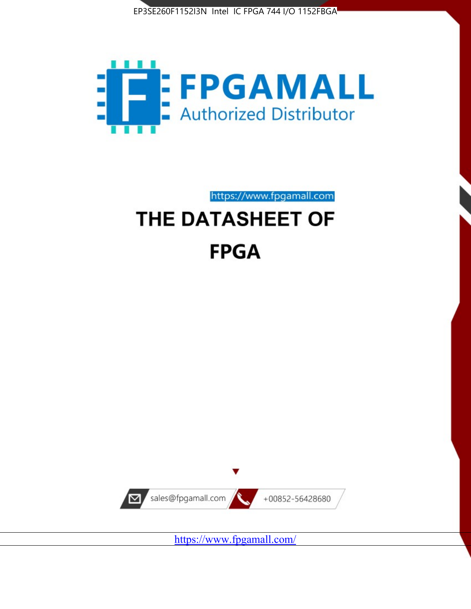



https://www.fpgamall.com

# THE DATASHEET OF **FPGA**



<https://www.fpgamall.com/>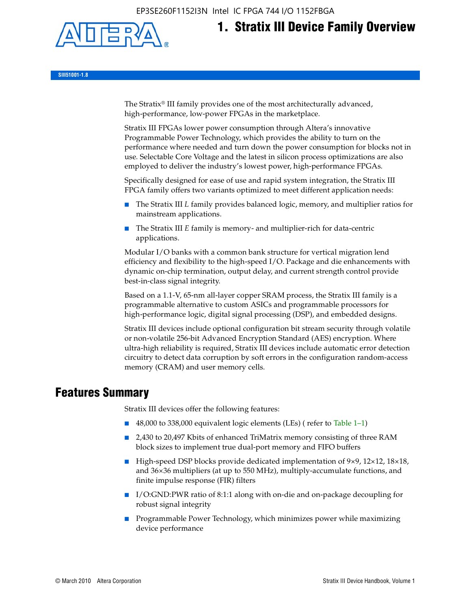EP3SE260F1152I3N Intel IC FPGA 744 I/O 1152FBGA



# **1. Stratix III Device Family Overview**

**SIII51001-1.8**

The Stratix® III family provides one of the most architecturally advanced, high-performance, low-power FPGAs in the marketplace.

Stratix III FPGAs lower power consumption through Altera's innovative Programmable Power Technology, which provides the ability to turn on the performance where needed and turn down the power consumption for blocks not in use. Selectable Core Voltage and the latest in silicon process optimizations are also employed to deliver the industry's lowest power, high-performance FPGAs.

Specifically designed for ease of use and rapid system integration, the Stratix III FPGA family offers two variants optimized to meet different application needs:

- The Stratix III *L* family provides balanced logic, memory, and multiplier ratios for mainstream applications.
- The Stratix III *E* family is memory- and multiplier-rich for data-centric applications.

Modular I/O banks with a common bank structure for vertical migration lend efficiency and flexibility to the high-speed I/O. Package and die enhancements with dynamic on-chip termination, output delay, and current strength control provide best-in-class signal integrity.

Based on a 1.1-V, 65-nm all-layer copper SRAM process, the Stratix III family is a programmable alternative to custom ASICs and programmable processors for high-performance logic, digital signal processing (DSP), and embedded designs.

Stratix III devices include optional configuration bit stream security through volatile or non-volatile 256-bit Advanced Encryption Standard (AES) encryption. Where ultra-high reliability is required, Stratix III devices include automatic error detection circuitry to detect data corruption by soft errors in the configuration random-access memory (CRAM) and user memory cells.

# **Features Summary**

Stratix III devices offer the following features:

- 48,000 to 338,000 equivalent logic elements (LEs) (refer to Table 1–1)
- 2,430 to 20,497 Kbits of enhanced TriMatrix memory consisting of three RAM block sizes to implement true dual-port memory and FIFO buffers
- High-speed DSP blocks provide dedicated implementation of 9×9, 12×12, 18×18, and 36×36 multipliers (at up to 550 MHz), multiply-accumulate functions, and finite impulse response (FIR) filters
- I/O:GND:PWR ratio of 8:1:1 along with on-die and on-package decoupling for robust signal integrity
- Programmable Power Technology, which minimizes power while maximizing device performance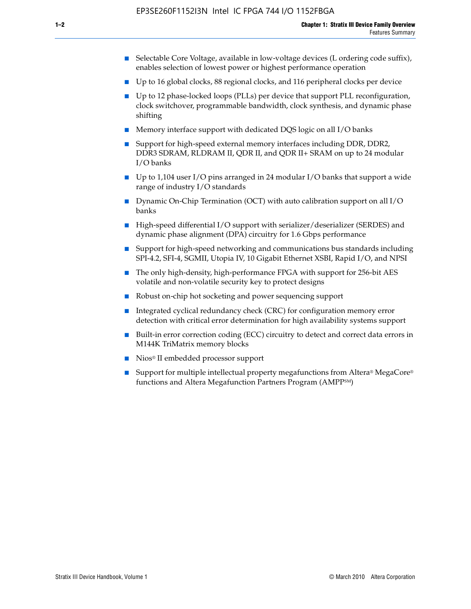- Selectable Core Voltage, available in low-voltage devices (L ordering code suffix), enables selection of lowest power or highest performance operation
- Up to 16 global clocks, 88 regional clocks, and 116 peripheral clocks per device
- Up to 12 phase-locked loops (PLLs) per device that support PLL reconfiguration, clock switchover, programmable bandwidth, clock synthesis, and dynamic phase shifting
- Memory interface support with dedicated DQS logic on all I/O banks
- Support for high-speed external memory interfaces including DDR, DDR2, DDR3 SDRAM, RLDRAM II, QDR II, and QDR II+ SRAM on up to 24 modular I/O banks
- Up to 1,104 user I/O pins arranged in 24 modular I/O banks that support a wide range of industry I/O standards
- Dynamic On-Chip Termination (OCT) with auto calibration support on all  $I/O$ banks
- High-speed differential I/O support with serializer/deserializer (SERDES) and dynamic phase alignment (DPA) circuitry for 1.6 Gbps performance
- Support for high-speed networking and communications bus standards including SPI-4.2, SFI-4, SGMII, Utopia IV, 10 Gigabit Ethernet XSBI, Rapid I/O, and NPSI
- The only high-density, high-performance FPGA with support for 256-bit AES volatile and non-volatile security key to protect designs
- Robust on-chip hot socketing and power sequencing support
- Integrated cyclical redundancy check (CRC) for configuration memory error detection with critical error determination for high availability systems support
- Built-in error correction coding (ECC) circuitry to detect and correct data errors in M144K TriMatrix memory blocks
- Nios<sup>®</sup> II embedded processor support
- Support for multiple intellectual property megafunctions from Altera® MegaCore® functions and Altera Megafunction Partners Program (AMPPSM)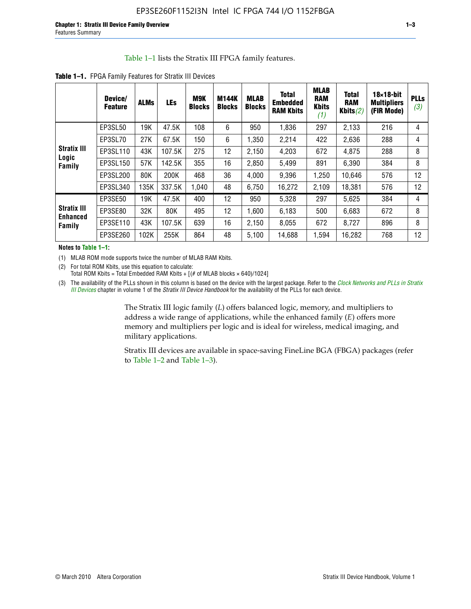#### Table 1–1 lists the Stratix III FPGA family features.

|                                                 | Device/<br><b>Feature</b> | <b>ALMs</b> | <b>LEs</b> | <b>M9K</b><br><b>Blocks</b> | <b>M144K</b><br><b>Blocks</b> | <b>MLAB</b><br><b>Blocks</b> | <b>Total</b><br><b>Embedded</b><br><b>RAM Kbits</b> | <b>MLAB</b><br><b>RAM</b><br><b>Kbits</b><br>(1) | <b>Total</b><br><b>RAM</b><br>Kbits $(2)$ | $18\times18$ -bit<br><b>Multipliers</b><br>(FIR Mode) | <b>PLLs</b><br>(3) |
|-------------------------------------------------|---------------------------|-------------|------------|-----------------------------|-------------------------------|------------------------------|-----------------------------------------------------|--------------------------------------------------|-------------------------------------------|-------------------------------------------------------|--------------------|
|                                                 | EP3SL50                   | 19K         | 47.5K      | 108                         | 6                             | 950                          | 1,836                                               | 297                                              | 2,133                                     | 216                                                   | 4                  |
|                                                 | EP3SL70                   | 27K         | 67.5K      | 150                         | 6                             | 1,350                        | 2,214                                               | 422                                              | 2,636                                     | 288                                                   | 4                  |
| <b>Stratix III</b>                              | EP3SL110                  | 43K         | 107.5K     | 275                         | 12                            | 2,150                        | 4,203                                               | 672                                              | 4,875                                     | 288                                                   | 8                  |
| Logic<br><b>Family</b>                          | EP3SL150                  | 57K         | 142.5K     | 355                         | 16                            | 2,850                        | 5,499                                               | 891                                              | 6,390                                     | 384                                                   | 8                  |
|                                                 | EP3SL200                  | 80K         | 200K       | 468                         | 36                            | 4,000                        | 9,396                                               | 1,250                                            | 10,646                                    | 576                                                   | 12                 |
|                                                 | EP3SL340                  | 135K        | 337.5K     | 1,040                       | 48                            | 6,750                        | 16,272                                              | 2,109                                            | 18,381                                    | 576                                                   | 12                 |
|                                                 | EP3SE50                   | 19K         | 47.5K      | 400                         | 12                            | 950                          | 5,328                                               | 297                                              | 5,625                                     | 384                                                   | 4                  |
| <b>Stratix III</b><br><b>Enhanced</b><br>Family | EP3SE80                   | 32K         | 80K        | 495                         | 12                            | 1,600                        | 6,183                                               | 500                                              | 6,683                                     | 672                                                   | 8                  |
|                                                 | EP3SE110                  | 43K         | 107.5K     | 639                         | 16                            | 2,150                        | 8,055                                               | 672                                              | 8,727                                     | 896                                                   | 8                  |
|                                                 | EP3SE260                  | 102K        | 255K       | 864                         | 48                            | 5,100                        | 14,688                                              | 1,594                                            | 16,282                                    | 768                                                   | 12                 |

**Table 1–1.** FPGA Family Features for Stratix III Devices

**Notes to Table 1–1:**

(1) MLAB ROM mode supports twice the number of MLAB RAM Kbits.

(2) For total ROM Kbits, use this equation to calculate: Total ROM Kbits = Total Embedded RAM Kbits +  $[(# of MLAB blocks × 640)/1024]$ 

(3) The availability of the PLLs shown in this column is based on the device with the largest package. Refer to the *[Clock Networks and PLLs in Stratix](http://www.altera.com/literature/hb/stx3/stx3_siii51006.pdf)  [III Devices](http://www.altera.com/literature/hb/stx3/stx3_siii51006.pdf)* chapter in volume 1 of the *Stratix III Device Handbook* for the availability of the PLLs for each device.

> The Stratix III logic family (*L*) offers balanced logic, memory, and multipliers to address a wide range of applications, while the enhanced family (*E*) offers more memory and multipliers per logic and is ideal for wireless, medical imaging, and military applications.

Stratix III devices are available in space-saving FineLine BGA (FBGA) packages (refer to Table 1–2 and Table 1–3).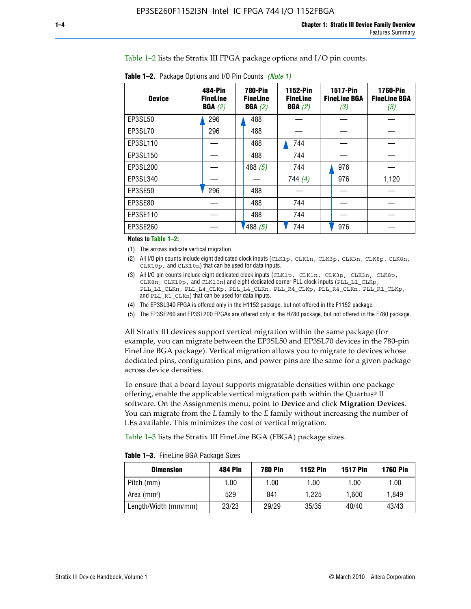Table 1–2 lists the Stratix III FPGA package options and I/O pin counts.

| <b>Device</b> | 484-Pin<br><b>FineLine</b><br>BGA(2) | <b>780-Pin</b><br><b>FineLine</b><br>BGA(2) | 1152-Pin<br><b>FineLine</b><br>BGA(2) | <b>1517-Pin</b><br><b>FineLine BGA</b><br>(3) | <b>1760-Pin</b><br><b>FineLine BGA</b><br>(3) |
|---------------|--------------------------------------|---------------------------------------------|---------------------------------------|-----------------------------------------------|-----------------------------------------------|
| EP3SL50       | 296                                  | 488                                         |                                       |                                               |                                               |
| EP3SL70       | 296                                  | 488                                         |                                       |                                               |                                               |
| EP3SL110      |                                      | 488                                         | 744                                   |                                               |                                               |
| EP3SL150      |                                      | 488                                         | 744                                   |                                               |                                               |
| EP3SL200      |                                      | 488 $(5)$                                   | 744                                   | 976                                           |                                               |
| EP3SL340      |                                      |                                             | 744 $(4)$                             | 976                                           | 1,120                                         |
| EP3SE50       | 296                                  | 488                                         |                                       |                                               |                                               |
| EP3SE80       |                                      | 488                                         | 744                                   |                                               |                                               |
| EP3SE110      |                                      | 488                                         | 744                                   |                                               |                                               |
| EP3SE260      |                                      | '488(5)                                     | 744                                   | 976                                           |                                               |

**Table 1–2.** Package Options and I/O Pin Counts *(Note 1)*

**Notes to Table 1–2:**

(1) The arrows indicate vertical migration.

- (2) All I/O pin counts include eight dedicated clock inputs (CLK1p, CLK1n, CLK3p, CLK3n, CLK8p, CLK8n, CLK10p, and CLK10n) that can be used for data inputs.
- (3) All I/O pin counts include eight dedicated clock inputs (CLK1p, CLK1n, CLK3p, CLK3n, CLK8p, CLK8n, CLK10p, and CLK10n) and eight dedicated corner PLL clock inputs (PLL\_L1\_CLKp, PLL\_L1\_CLKn, PLL\_L4\_CLKp, PLL\_L4\_CLKn, PLL\_R4\_CLKp, PLL\_R4\_CLKn, PLL\_R1\_CLKp, and PLL\_R1\_CLKn) that can be used for data inputs.
- (4) The EP3SL340 FPGA is offered only in the H1152 package, but not offered in the F1152 package.
- (5) The EP3SE260 and EP3SL200 FPGAs are offered only in the H780 package, but not offered in the F780 package.

All Stratix III devices support vertical migration within the same package (for example, you can migrate between the EP3SL50 and EP3SL70 devices in the 780-pin FineLine BGA package). Vertical migration allows you to migrate to devices whose dedicated pins, configuration pins, and power pins are the same for a given package across device densities.

To ensure that a board layout supports migratable densities within one package offering, enable the applicable vertical migration path within the Quartus® II software. On the Assignments menu, point to **Device** and click **Migration Devices**. You can migrate from the *L* family to the *E* family without increasing the number of LEs available. This minimizes the cost of vertical migration.

Table 1–3 lists the Stratix III FineLine BGA (FBGA) package sizes.

**Table 1–3.** FineLine BGA Package Sizes

| <b>Dimension</b>     | <b>484 Pin</b> | <b>780 Pin</b> | <b>1152 Pin</b> | <b>1517 Pin</b> | <b>1760 Pin</b> |
|----------------------|----------------|----------------|-----------------|-----------------|-----------------|
| Pitch (mm)           | 1.00           | 1.00           | 1.00            | 1.00            | 1.00            |
| Area (mmª)           | 529            | 841            | 1.225           | 1.600           | 1.849           |
| Length/Width (mm/mm) | 23/23          | 29/29          | 35/35           | 40/40           | 43/43           |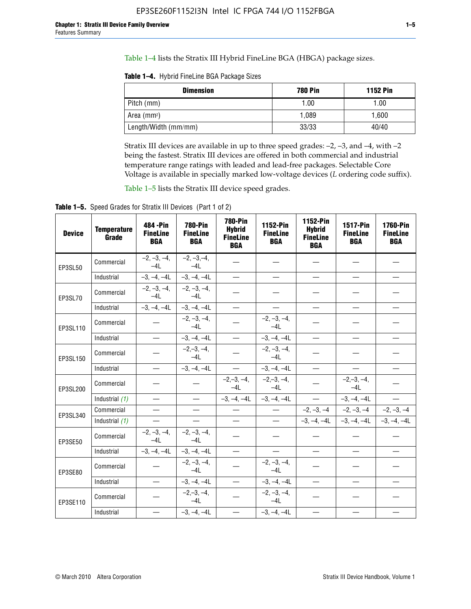Table 1–4 lists the Stratix III Hybrid FineLine BGA (HBGA) package sizes.

**Table 1–4.** Hybrid FineLine BGA Package Sizes

| <b>Dimension</b>        | <b>780 Pin</b> | <b>1152 Pin</b> |
|-------------------------|----------------|-----------------|
| Pitch (mm)              | 1.00           | 1.00            |
| Area (mm <sup>2</sup> ) | 1.089          | 1.600           |
| Length/Width (mm/mm)    | 33/33          | 40/40           |

Stratix III devices are available in up to three speed grades: –2, –3, and –4, with –2 being the fastest. Stratix III devices are offered in both commercial and industrial temperature range ratings with leaded and lead-free packages. Selectable Core Voltage is available in specially marked low-voltage devices (*L* ordering code suffix).

Table 1–5 lists the Stratix III device speed grades.

Table 1-5. Speed Grades for Stratix III Devices (Part 1 of 2)

| <b>Device</b> | <b>Temperature</b><br>Grade | 484 - Pin<br><b>FineLine</b><br><b>BGA</b> | <b>780-Pin</b><br><b>FineLine</b><br><b>BGA</b> | <b>780-Pin</b><br><b>Hybrid</b><br><b>FineLine</b><br><b>BGA</b> | 1152-Pin<br><b>FineLine</b><br><b>BGA</b> | 1152-Pin<br><b>Hybrid</b><br><b>FineLine</b><br><b>BGA</b> | 1517-Pin<br><b>FineLine</b><br><b>BGA</b> | <b>1760-Pin</b><br><b>FineLine</b><br><b>BGA</b> |
|---------------|-----------------------------|--------------------------------------------|-------------------------------------------------|------------------------------------------------------------------|-------------------------------------------|------------------------------------------------------------|-------------------------------------------|--------------------------------------------------|
| EP3SL50       | Commercial                  | $-2, -3, -4,$<br>$-4L$                     | $-2, -3, -4,$<br>$-4L$                          |                                                                  |                                           |                                                            |                                           |                                                  |
|               | Industrial                  | $-3, -4, -4L$                              | $-3, -4, -4L$                                   | $\overline{\phantom{0}}$                                         | $\equiv$                                  | $\equiv$                                                   | $\equiv$                                  | $\equiv$                                         |
| EP3SL70       | Commercial                  | $-2, -3, -4,$<br>$-41$                     | $-2, -3, -4,$<br>$-41$                          |                                                                  |                                           |                                                            |                                           |                                                  |
|               | Industrial                  | $-3, -4, -4L$                              | $-3, -4, -4L$                                   | $\equiv$                                                         | $\overline{\phantom{0}}$                  | $\overline{\phantom{0}}$                                   | $\overline{\phantom{0}}$                  | $\overline{\phantom{0}}$                         |
| EP3SL110      | Commercial                  |                                            | $-2, -3, -4,$<br>$-4L$                          |                                                                  | $-2, -3, -4,$<br>$-4L$                    |                                                            |                                           |                                                  |
|               | Industrial                  | $\overline{\phantom{0}}$                   | $-3, -4, -4L$                                   | $\frac{1}{1}$                                                    | $-3, -4, -4L$                             | $\frac{1}{2}$                                              | $\equiv$                                  | $\overline{\phantom{0}}$                         |
| EP3SL150      | Commercial                  |                                            | $-2, -3, -4,$<br>$-41$                          |                                                                  | $-2, -3, -4,$<br>$-41$                    |                                                            |                                           |                                                  |
|               | Industrial                  |                                            | $-3, -4, -4L$                                   | $\overline{\phantom{0}}$                                         | $-3, -4, -4L$                             |                                                            | $\qquad \qquad -$                         | $\equiv$                                         |
| EP3SL200      | Commercial                  |                                            |                                                 | $-2, -3, -4,$<br>$-4L$                                           | $-2, -3, -4,$<br>$-4L$                    |                                                            | $-2,-3,-4,$<br>$-4L$                      |                                                  |
|               | Industrial (1)              | $\equiv$                                   | $\equiv$                                        | $-3, -4, -4L$                                                    | $-3, -4, -4L$                             | $\frac{1}{2}$                                              | $-3, -4, -4L$                             | $\overline{\phantom{0}}$                         |
| EP3SL340      | Commercial                  | $\equiv$                                   | $\qquad \qquad$                                 | $\overbrace{\phantom{12322111}}$                                 | $\overline{\phantom{m}}$                  |                                                            | $-2, -3, -4$ $-2, -3, -4$                 | $-2, -3, -4$                                     |
|               | Industrial (1)              | $\overline{\phantom{m}}$                   | $\equiv$                                        | $\equiv$                                                         | $-$                                       |                                                            | $-3, -4, -4$ $-4$ $-3, -4, -4$            | $-3, -4, -4L$                                    |
| EP3SE50       | Commercial                  | $-2, -3, -4,$<br>$-4L$                     | $-2, -3, -4,$<br>$-4L$                          |                                                                  |                                           |                                                            |                                           |                                                  |
|               | Industrial                  | $-3, -4, -4L$                              | $-3, -4, -4L$                                   | $\equiv$                                                         | $\overline{\phantom{0}}$                  |                                                            |                                           | $\overline{\phantom{0}}$                         |
| EP3SE80       | Commercial                  |                                            | $-2, -3, -4,$<br>$-41$                          |                                                                  | $-2, -3, -4,$<br>$-41$                    |                                                            |                                           |                                                  |
|               | Industrial                  | $\overline{\phantom{m}}$                   | $-3, -4, -4L$                                   | $\overbrace{\phantom{1232211}}$                                  | $-3, -4, -4L$                             |                                                            | $\equiv$                                  |                                                  |
| EP3SE110      | Commercial                  |                                            | $-2, -3, -4,$<br>$-4L$                          |                                                                  | $-2, -3, -4,$<br>$-41$                    |                                                            |                                           |                                                  |
|               | Industrial                  |                                            | $-3, -4, -4L$                                   | $\overline{\phantom{0}}$                                         | $-3, -4, -4L$                             |                                                            |                                           |                                                  |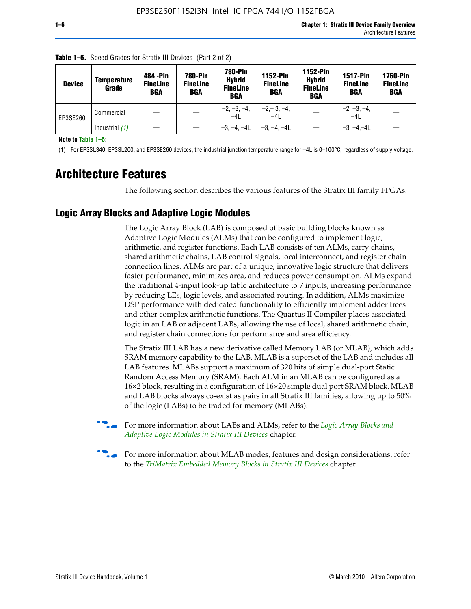| <b>Device</b> | <b>Temperature</b><br>Grade | 484 - Pin<br><b>FineLine</b><br><b>BGA</b> | <b>780-Pin</b><br><b>FineLine</b><br><b>BGA</b> | 780-Pin<br><b>Hybrid</b><br><b>FineLine</b><br><b>BGA</b> | 1152-Pin<br><b>FineLine</b><br><b>BGA</b> | <b>1152-Pin</b><br><b>Hybrid</b><br><b>FineLine</b><br><b>BGA</b> | <b>1517-Pin</b><br><b>FineLine</b><br>BGA | <b>1760-Pin</b><br><b>FineLine</b><br>BGA |
|---------------|-----------------------------|--------------------------------------------|-------------------------------------------------|-----------------------------------------------------------|-------------------------------------------|-------------------------------------------------------------------|-------------------------------------------|-------------------------------------------|
| EP3SE260      | Commercial                  |                                            |                                                 | $-2, -3, -4,$<br>$-4L$                                    | $-2, -3, -4,$<br>$-4L$                    |                                                                   | $-2, -3, -4,$<br>$-4L$                    |                                           |
|               | Industrial $(1)$            |                                            |                                                 | $-3, -4, -4L$                                             | $-3, -4, -4L$                             |                                                                   | $-3, -4, -4L$                             |                                           |

**Table 1–5.** Speed Grades for Stratix III Devices (Part 2 of 2)

**Note to Table 1–5:**

(1) For EP3SL340, EP3SL200, and EP3SE260 devices, the industrial junction temperature range for –4L is 0–100°C, regardless of supply voltage.

# **Architecture Features**

The following section describes the various features of the Stratix III family FPGAs.

## **Logic Array Blocks and Adaptive Logic Modules**

The Logic Array Block (LAB) is composed of basic building blocks known as Adaptive Logic Modules (ALMs) that can be configured to implement logic, arithmetic, and register functions. Each LAB consists of ten ALMs, carry chains, shared arithmetic chains, LAB control signals, local interconnect, and register chain connection lines. ALMs are part of a unique, innovative logic structure that delivers faster performance, minimizes area, and reduces power consumption. ALMs expand the traditional 4-input look-up table architecture to 7 inputs, increasing performance by reducing LEs, logic levels, and associated routing. In addition, ALMs maximize DSP performance with dedicated functionality to efficiently implement adder trees and other complex arithmetic functions. The Quartus II Compiler places associated logic in an LAB or adjacent LABs, allowing the use of local, shared arithmetic chain, and register chain connections for performance and area efficiency.

The Stratix III LAB has a new derivative called Memory LAB (or MLAB), which adds SRAM memory capability to the LAB. MLAB is a superset of the LAB and includes all LAB features. MLABs support a maximum of 320 bits of simple dual-port Static Random Access Memory (SRAM). Each ALM in an MLAB can be configured as a 16×2 block, resulting in a configuration of 16×20 simple dual port SRAM block. MLAB and LAB blocks always co-exist as pairs in all Stratix III families, allowing up to 50% of the logic (LABs) to be traded for memory (MLABs).



f For more information about LABs and ALMs, refer to the *[Logic Array Blocks and](http://www.altera.com/literature/hb/stx3/stx3_siii51002.pdf)  [Adaptive Logic Modules in Stratix III Devices](http://www.altera.com/literature/hb/stx3/stx3_siii51002.pdf)* chapter.



For more information about MLAB modes, features and design considerations, refer to the *[TriMatrix Embedded Memory Blocks in Stratix III Devices](http://www.altera.com/literature/hb/stx3/stx3_siii51004.pdf)* chapter.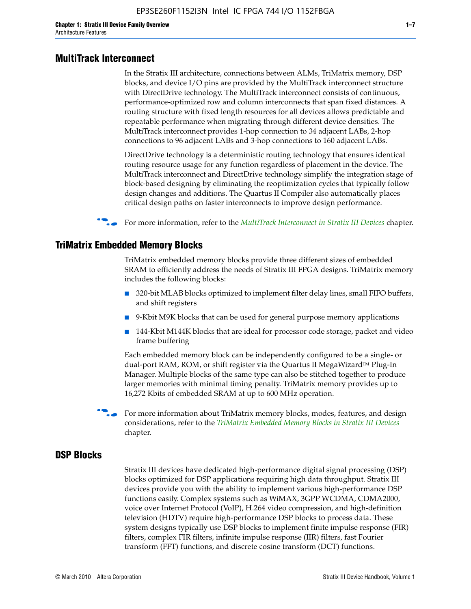#### **MultiTrack Interconnect**

In the Stratix III architecture, connections between ALMs, TriMatrix memory, DSP blocks, and device I/O pins are provided by the MultiTrack interconnect structure with DirectDrive technology. The MultiTrack interconnect consists of continuous, performance-optimized row and column interconnects that span fixed distances. A routing structure with fixed length resources for all devices allows predictable and repeatable performance when migrating through different device densities. The MultiTrack interconnect provides 1-hop connection to 34 adjacent LABs, 2-hop connections to 96 adjacent LABs and 3-hop connections to 160 adjacent LABs.

DirectDrive technology is a deterministic routing technology that ensures identical routing resource usage for any function regardless of placement in the device. The MultiTrack interconnect and DirectDrive technology simplify the integration stage of block-based designing by eliminating the reoptimization cycles that typically follow design changes and additions. The Quartus II Compiler also automatically places critical design paths on faster interconnects to improve design performance.

#### f For more information, refer to the *[MultiTrack Interconnect in Stratix III Devices](http://www.altera.com/literature/hb/stx3/stx3_siii51003.pdf)* chapter.

#### **TriMatrix Embedded Memory Blocks**

TriMatrix embedded memory blocks provide three different sizes of embedded SRAM to efficiently address the needs of Stratix III FPGA designs. TriMatrix memory includes the following blocks:

- 320-bit MLAB blocks optimized to implement filter delay lines, small FIFO buffers, and shift registers
- 9-Kbit M9K blocks that can be used for general purpose memory applications
- 144-Kbit M144K blocks that are ideal for processor code storage, packet and video frame buffering

Each embedded memory block can be independently configured to be a single- or dual-port RAM, ROM, or shift register via the Quartus II MegaWizard™ Plug-In Manager. Multiple blocks of the same type can also be stitched together to produce larger memories with minimal timing penalty. TriMatrix memory provides up to 16,272 Kbits of embedded SRAM at up to 600 MHz operation.

For more information about TriMatrix memory blocks, modes, features, and design considerations, refer to the *[TriMatrix Embedded Memory Blocks in Stratix III Devices](http://www.altera.com/literature/hb/stx3/stx3_siii51004.pdf)* chapter.

#### **DSP Blocks**

Stratix III devices have dedicated high-performance digital signal processing (DSP) blocks optimized for DSP applications requiring high data throughput. Stratix III devices provide you with the ability to implement various high-performance DSP functions easily. Complex systems such as WiMAX, 3GPP WCDMA, CDMA2000, voice over Internet Protocol (VoIP), H.264 video compression, and high-definition television (HDTV) require high-performance DSP blocks to process data. These system designs typically use DSP blocks to implement finite impulse response (FIR) filters, complex FIR filters, infinite impulse response (IIR) filters, fast Fourier transform (FFT) functions, and discrete cosine transform (DCT) functions.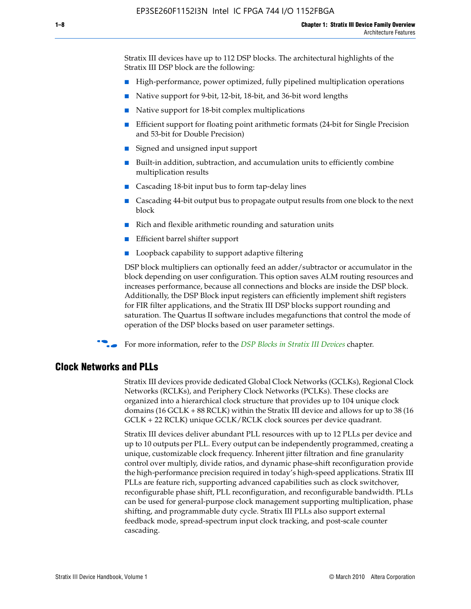Stratix III devices have up to 112 DSP blocks. The architectural highlights of the Stratix III DSP block are the following:

- High-performance, power optimized, fully pipelined multiplication operations
- Native support for 9-bit, 12-bit, 18-bit, and 36-bit word lengths
- Native support for 18-bit complex multiplications
- Efficient support for floating point arithmetic formats (24-bit for Single Precision and 53-bit for Double Precision)
- Signed and unsigned input support
- Built-in addition, subtraction, and accumulation units to efficiently combine multiplication results
- Cascading 18-bit input bus to form tap-delay lines
- Cascading 44-bit output bus to propagate output results from one block to the next block
- Rich and flexible arithmetic rounding and saturation units
- Efficient barrel shifter support
- Loopback capability to support adaptive filtering

DSP block multipliers can optionally feed an adder/subtractor or accumulator in the block depending on user configuration. This option saves ALM routing resources and increases performance, because all connections and blocks are inside the DSP block. Additionally, the DSP Block input registers can efficiently implement shift registers for FIR filter applications, and the Stratix III DSP blocks support rounding and saturation. The Quartus II software includes megafunctions that control the mode of operation of the DSP blocks based on user parameter settings.

f For more information, refer to the *[DSP Blocks in Stratix III Devices](http://www.altera.com/literature/hb/stx3/stx3_siii51005.pdf)* chapter.

#### **Clock Networks and PLLs**

Stratix III devices provide dedicated Global Clock Networks (GCLKs), Regional Clock Networks (RCLKs), and Periphery Clock Networks (PCLKs). These clocks are organized into a hierarchical clock structure that provides up to 104 unique clock domains (16 GCLK + 88 RCLK) within the Stratix III device and allows for up to 38 (16 GCLK + 22 RCLK) unique GCLK/RCLK clock sources per device quadrant.

Stratix III devices deliver abundant PLL resources with up to 12 PLLs per device and up to 10 outputs per PLL. Every output can be independently programmed, creating a unique, customizable clock frequency. Inherent jitter filtration and fine granularity control over multiply, divide ratios, and dynamic phase-shift reconfiguration provide the high-performance precision required in today's high-speed applications. Stratix III PLLs are feature rich, supporting advanced capabilities such as clock switchover, reconfigurable phase shift, PLL reconfiguration, and reconfigurable bandwidth. PLLs can be used for general-purpose clock management supporting multiplication, phase shifting, and programmable duty cycle. Stratix III PLLs also support external feedback mode, spread-spectrum input clock tracking, and post-scale counter cascading.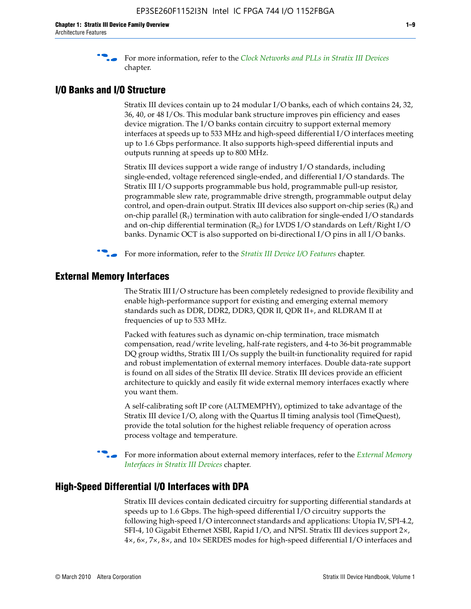f For more information, refer to the *[Clock Networks and PLLs in Stratix III Devices](http://www.altera.com/literature/hb/stx3/stx3_siii51006.pdf)* chapter.

### **I/O Banks and I/O Structure**

Stratix III devices contain up to 24 modular I/O banks, each of which contains 24, 32, 36, 40, or 48 I/Os. This modular bank structure improves pin efficiency and eases device migration. The I/O banks contain circuitry to support external memory interfaces at speeds up to 533 MHz and high-speed differential I/O interfaces meeting up to 1.6 Gbps performance. It also supports high-speed differential inputs and outputs running at speeds up to 800 MHz.

Stratix III devices support a wide range of industry I/O standards, including single-ended, voltage referenced single-ended, and differential I/O standards. The Stratix III I/O supports programmable bus hold, programmable pull-up resistor, programmable slew rate, programmable drive strength, programmable output delay control, and open-drain output. Stratix III devices also support on-chip series  $(R<sub>s</sub>)$  and on-chip parallel  $(R_T)$  termination with auto calibration for single-ended I/O standards and on-chip differential termination  $(R_D)$  for LVDS I/O standards on Left/Right I/O banks. Dynamic OCT is also supported on bi-directional I/O pins in all I/O banks.

**For more information, refer to the** *[Stratix III Device I/O Features](http://www.altera.com/literature/hb/stx3/stx3_siii51007.pdf)* **chapter.** 

# **External Memory Interfaces**

The Stratix III I/O structure has been completely redesigned to provide flexibility and enable high-performance support for existing and emerging external memory standards such as DDR, DDR2, DDR3, QDR II, QDR II+, and RLDRAM II at frequencies of up to 533 MHz.

Packed with features such as dynamic on-chip termination, trace mismatch compensation, read/write leveling, half-rate registers, and 4-to 36-bit programmable DQ group widths, Stratix III I/Os supply the built-in functionality required for rapid and robust implementation of external memory interfaces. Double data-rate support is found on all sides of the Stratix III device. Stratix III devices provide an efficient architecture to quickly and easily fit wide external memory interfaces exactly where you want them.

A self-calibrating soft IP core (ALTMEMPHY), optimized to take advantage of the Stratix III device I/O, along with the Quartus II timing analysis tool (TimeQuest), provide the total solution for the highest reliable frequency of operation across process voltage and temperature.

f For more information about external memory interfaces, refer to the *[External Memory](http://www.altera.com/literature/hb/stx3/stx3_siii51008.pdf)  [Interfaces in Stratix III Devices](http://www.altera.com/literature/hb/stx3/stx3_siii51008.pdf)* chapter.

#### **High-Speed Differential I/O Interfaces with DPA**

Stratix III devices contain dedicated circuitry for supporting differential standards at speeds up to 1.6 Gbps. The high-speed differential I/O circuitry supports the following high-speed I/O interconnect standards and applications: Utopia IV, SPI-4.2, SFI-4, 10 Gigabit Ethernet XSBI, Rapid I/O, and NPSI. Stratix III devices support 2×, 4×, 6×, 7×, 8×, and 10× SERDES modes for high-speed differential I/O interfaces and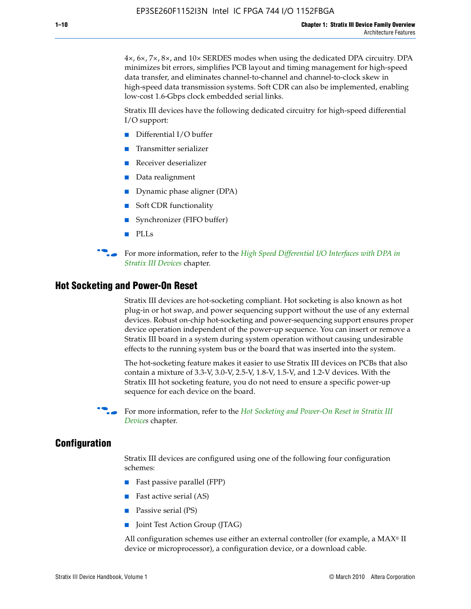4×, 6×, 7×, 8×, and 10× SERDES modes when using the dedicated DPA circuitry. DPA minimizes bit errors, simplifies PCB layout and timing management for high-speed data transfer, and eliminates channel-to-channel and channel-to-clock skew in high-speed data transmission systems. Soft CDR can also be implemented, enabling low-cost 1.6-Gbps clock embedded serial links.

Stratix III devices have the following dedicated circuitry for high-speed differential I/O support:

- Differential I/O buffer
- Transmitter serializer
- Receiver deserializer
- Data realignment
- Dynamic phase aligner (DPA)
- Soft CDR functionality
- Synchronizer (FIFO buffer)
- PLLs

**for more information, refer to the** *High Speed Differential I/O Interfaces with DPA in [Stratix III Devices](http://www.altera.com/literature/hb/stx3/stx3_siii51009.pdf)* chapter.

#### **Hot Socketing and Power-On Reset**

Stratix III devices are hot-socketing compliant. Hot socketing is also known as hot plug-in or hot swap, and power sequencing support without the use of any external devices. Robust on-chip hot-socketing and power-sequencing support ensures proper device operation independent of the power-up sequence. You can insert or remove a Stratix III board in a system during system operation without causing undesirable effects to the running system bus or the board that was inserted into the system.

The hot-socketing feature makes it easier to use Stratix III devices on PCBs that also contain a mixture of 3.3-V, 3.0-V, 2.5-V, 1.8-V, 1.5-V, and 1.2-V devices. With the Stratix III hot socketing feature, you do not need to ensure a specific power-up sequence for each device on the board.

f For more information, refer to the *[Hot Socketing and Power-On Reset in Stratix III](http://www.altera.com/literature/hb/stx3/stx3_siii51010.pdf)  [Device](http://www.altera.com/literature/hb/stx3/stx3_siii51010.pdf)s* chapter.

#### **Configuration**

Stratix III devices are configured using one of the following four configuration schemes:

- Fast passive parallel (FPP)
- Fast active serial (AS)
- Passive serial (PS)
- Joint Test Action Group (JTAG)

All configuration schemes use either an external controller (for example, a  $MAX<sup>®</sup>$  II device or microprocessor), a configuration device, or a download cable.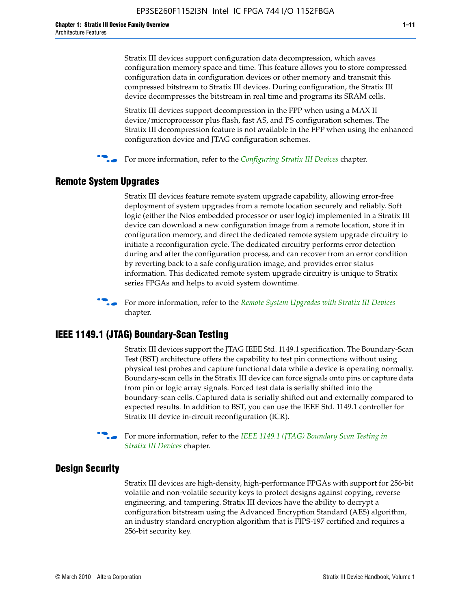Stratix III devices support configuration data decompression, which saves configuration memory space and time. This feature allows you to store compressed configuration data in configuration devices or other memory and transmit this compressed bitstream to Stratix III devices. During configuration, the Stratix III device decompresses the bitstream in real time and programs its SRAM cells.

Stratix III devices support decompression in the FPP when using a MAX II device/microprocessor plus flash, fast AS, and PS configuration schemes. The Stratix III decompression feature is not available in the FPP when using the enhanced configuration device and JTAG configuration schemes.

For more information, refer to the *[Configuring Stratix III Devices](http://www.altera.com/literature/hb/stx3/stx3_siii51011.pdf)* chapter.

## **Remote System Upgrades**

Stratix III devices feature remote system upgrade capability, allowing error-free deployment of system upgrades from a remote location securely and reliably. Soft logic (either the Nios embedded processor or user logic) implemented in a Stratix III device can download a new configuration image from a remote location, store it in configuration memory, and direct the dedicated remote system upgrade circuitry to initiate a reconfiguration cycle. The dedicated circuitry performs error detection during and after the configuration process, and can recover from an error condition by reverting back to a safe configuration image, and provides error status information. This dedicated remote system upgrade circuitry is unique to Stratix series FPGAs and helps to avoid system downtime.



**For more information, refer to the** *[Remote System Upgrades with Stratix III Devices](http://www.altera.com/literature/hb/stx3/stx3_siii51012.pdf)* chapter.

# **IEEE 1149.1 (JTAG) Boundary-Scan Testing**

Stratix III devices support the JTAG IEEE Std. 1149.1 specification. The Boundary-Scan Test (BST) architecture offers the capability to test pin connections without using physical test probes and capture functional data while a device is operating normally. Boundary-scan cells in the Stratix III device can force signals onto pins or capture data from pin or logic array signals. Forced test data is serially shifted into the boundary-scan cells. Captured data is serially shifted out and externally compared to expected results. In addition to BST, you can use the IEEE Std. 1149.1 controller for Stratix III device in-circuit reconfiguration (ICR).

For more information, refer to the *IEEE 1149.1 (JTAG) Boundary Scan Testing in [Stratix III Devices](http://www.altera.com/literature/hb/stx3/stx3_siii51013.pdf)* chapter.

## **Design Security**

Stratix III devices are high-density, high-performance FPGAs with support for 256-bit volatile and non-volatile security keys to protect designs against copying, reverse engineering, and tampering. Stratix III devices have the ability to decrypt a configuration bitstream using the Advanced Encryption Standard (AES) algorithm, an industry standard encryption algorithm that is FIPS-197 certified and requires a 256-bit security key.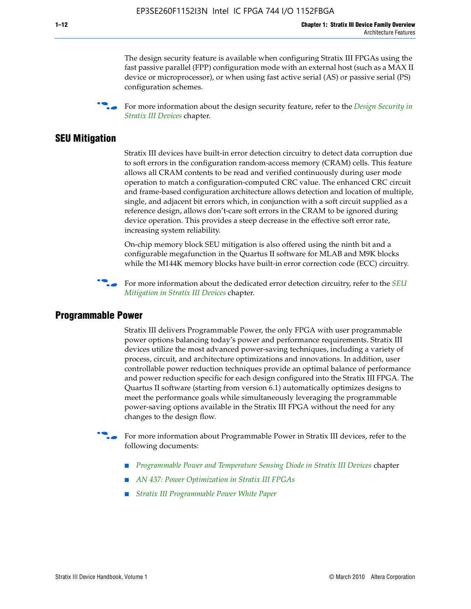The design security feature is available when configuring Stratix III FPGAs using the fast passive parallel (FPP) configuration mode with an external host (such as a MAX II device or microprocessor), or when using fast active serial (AS) or passive serial (PS) configuration schemes.

f For more information about the design security feature, refer to the *[Design Security in](http://www.altera.com/literature/hb/stx3/stx3_siii51014.pdf)  [Stratix III Devices](http://www.altera.com/literature/hb/stx3/stx3_siii51014.pdf)* chapter.

#### **SEU Mitigation**

Stratix III devices have built-in error detection circuitry to detect data corruption due to soft errors in the configuration random-access memory (CRAM) cells. This feature allows all CRAM contents to be read and verified continuously during user mode operation to match a configuration-computed CRC value. The enhanced CRC circuit and frame-based configuration architecture allows detection and location of multiple, single, and adjacent bit errors which, in conjunction with a soft circuit supplied as a reference design, allows don't-care soft errors in the CRAM to be ignored during device operation. This provides a steep decrease in the effective soft error rate, increasing system reliability.

On-chip memory block SEU mitigation is also offered using the ninth bit and a configurable megafunction in the Quartus II software for MLAB and M9K blocks while the M144K memory blocks have built-in error correction code (ECC) circuitry.

For more information about the dedicated error detection circuitry, refer to the *SEU [Mitigation in Stratix III Devices](http://www.altera.com/literature/hb/stx3/stx3_siii51015.pdf)* chapter.

#### **Programmable Power**

Stratix III delivers Programmable Power, the only FPGA with user programmable power options balancing today's power and performance requirements. Stratix III devices utilize the most advanced power-saving techniques, including a variety of process, circuit, and architecture optimizations and innovations. In addition, user controllable power reduction techniques provide an optimal balance of performance and power reduction specific for each design configured into the Stratix III FPGA. The Quartus II software (starting from version 6.1) automatically optimizes designs to meet the performance goals while simultaneously leveraging the programmable power-saving options available in the Stratix III FPGA without the need for any changes to the design flow.

For more information about Programmable Power in Stratix III devices, refer to the following documents:

- *[Programmable Power and Temperature Sensing Diode in Stratix III Devices](http://www.altera.com/literature/hb/stx3/stx3_siii51016.pdf)* chapter
- *[AN 437: Power Optimization in Stratix III FPGAs](http://www.altera.com/literature/an/AN437.pdf)*
- *[Stratix III Programmable Power White Paper](http://www.altera.com/literature/wp/wp-01006.pdf)*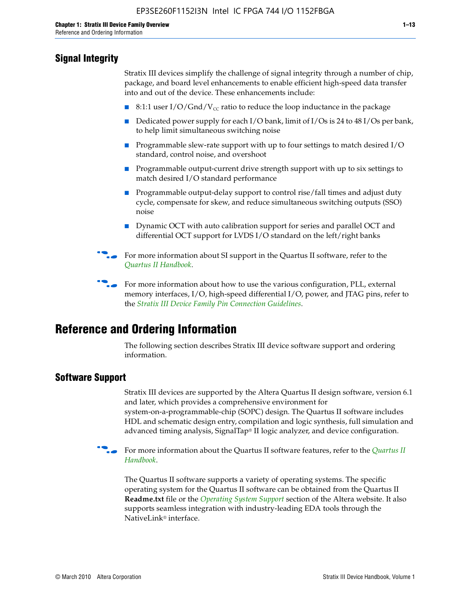# **Signal Integrity**

Stratix III devices simplify the challenge of signal integrity through a number of chip, package, and board level enhancements to enable efficient high-speed data transfer into and out of the device. These enhancements include:

- 8:1:1 user I/O/Gnd/V<sub>cc</sub> ratio to reduce the loop inductance in the package
- Dedicated power supply for each I/O bank, limit of I/Os is 24 to 48 I/Os per bank, to help limit simultaneous switching noise
- Programmable slew-rate support with up to four settings to match desired I/O standard, control noise, and overshoot
- Programmable output-current drive strength support with up to six settings to match desired I/O standard performance
- Programmable output-delay support to control rise/fall times and adjust duty cycle, compensate for skew, and reduce simultaneous switching outputs (SSO) noise
- Dynamic OCT with auto calibration support for series and parallel OCT and differential OCT support for LVDS I/O standard on the left/right banks
- For mor[e](http://www.altera.com/literature/hb/qts/quartusii_handbook.pdf) information about SI support in the Quartus II software, refer to the *[Quartus II Handbook](http://www.altera.com/literature/hb/qts/quartusii_handbook.pdf)*.

For more information about how to use the various configuration, PLL, external memory interfaces, I/O, high-speed differential I/O, power, and JTAG pins, refer to the *[Stratix III Device Family Pin Connection Guidelines](http://www.altera.com/literature/dp/stx3/PCG-01004.pdf)*.

# **Reference and Ordering Information**

The following section describes Stratix III device software support and ordering information.

## **Software Support**

Stratix III devices are supported by the Altera Quartus II design software, version 6.1 and later, which provides a comprehensive environment for system-on-a-programmable-chip (SOPC) design. The Quartus II software includes HDL and schematic design entry, compilation and logic synthesis, full simulation and advanced timing analysis, SignalTap® II logic analyzer, and device configuration.

**For more information about the [Quartus II](http://www.altera.com/literature/hb/qts/quartusii_handbook.pdf) software features, refer to the** *Quartus II* **<b>Fig. 7** *[Handbook](http://www.altera.com/literature/hb/qts/quartusii_handbook.pdf)*.

The Quartus II software supports a variety of operating systems. The specific operating system for the Quartus II software can be obtained from the Quartus II **Readme.txt** file or the *[Operating System Support](http://www.altera.com/support/software/os_support/oss-index.html)* section of the Altera website. It also supports seamless integration with industry-leading EDA tools through the NativeLink® interface.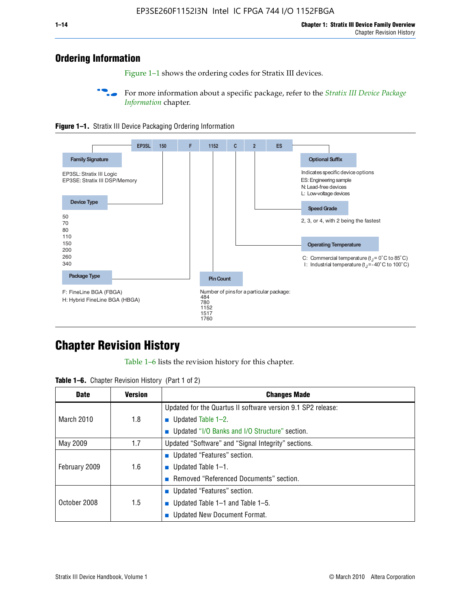# **Ordering Information**

Figure 1–1 shows the ordering codes for Stratix III devices.

For more information about a specific package, refer to the *Stratix III Device Package [Information](http://www.altera.com/literature/hb/stx3/stx3_siii51017.pdf)* chapter.





# **[C](http://www.altera.com/literature/hb/stx3/stx3_siii51012.pdf)hapter Revision History**

Table 1–6 lists the revision history for this chapter.

| <b>Table 1–6.</b> Chapter Revision History (Part 1 of 2) |  |  |  |  |  |
|----------------------------------------------------------|--|--|--|--|--|
|----------------------------------------------------------|--|--|--|--|--|

| <b>Date</b>       | <b>Version</b> | <b>Changes Made</b>                                          |
|-------------------|----------------|--------------------------------------------------------------|
|                   |                | Updated for the Quartus II software version 9.1 SP2 release: |
| <b>March 2010</b> | 1.8            | <b>u</b> Updated Table $1-2$ .                               |
|                   |                | ■ Updated "I/O Banks and I/O Structure" section.             |
| May 2009          | 1.7            | Updated "Software" and "Signal Integrity" sections.          |
|                   |                | Updated "Features" section.                                  |
| February 2009     | 1.6            | <b>u</b> Updated Table $1-1$ .                               |
|                   |                | Removed "Referenced Documents" section.                      |
|                   |                | ■ Updated "Features" section.                                |
| October 2008      | 1.5            | ■ Updated Table 1–1 and Table 1–5.                           |
|                   |                | <b>Updated New Document Format.</b>                          |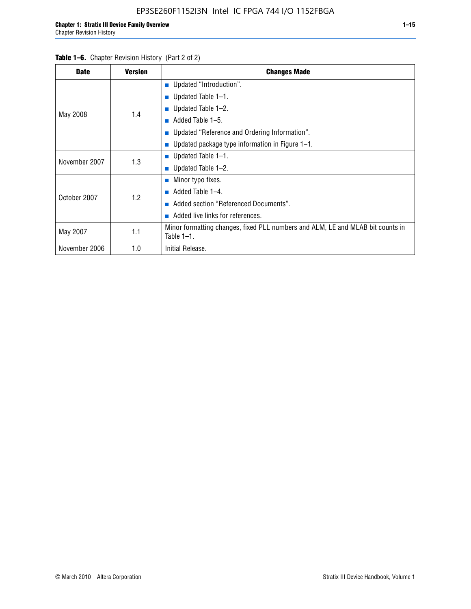#### Table 1–6. Chapter Revision History (Part 2 of 2)

| <b>Date</b>   | <b>Version</b> | <b>Changes Made</b>                                                                             |  |  |  |
|---------------|----------------|-------------------------------------------------------------------------------------------------|--|--|--|
|               |                | <b>Updated "Introduction".</b>                                                                  |  |  |  |
|               |                | ■ Updated Table $1-1$ .                                                                         |  |  |  |
|               | 1.4            | Updated Table 1–2.                                                                              |  |  |  |
| May 2008      |                | Added Table 1-5.<br>ш                                                                           |  |  |  |
|               |                | ■ Updated "Reference and Ordering Information".                                                 |  |  |  |
|               |                | ■ Updated package type information in Figure $1-1$ .                                            |  |  |  |
| November 2007 | 1.3            | ■ Updated Table $1-1$ .                                                                         |  |  |  |
|               |                | $\blacksquare$ Updated Table 1-2.                                                               |  |  |  |
|               |                | ■ Minor typo fixes.                                                                             |  |  |  |
| October 2007  | 1.2            | Added Table 1-4.                                                                                |  |  |  |
|               |                | Added section "Referenced Documents".                                                           |  |  |  |
|               |                | Added live links for references.                                                                |  |  |  |
| May 2007      | 1.1            | Minor formatting changes, fixed PLL numbers and ALM, LE and MLAB bit counts in<br>Table $1-1$ . |  |  |  |
| November 2006 | 1.0            | Initial Release.                                                                                |  |  |  |